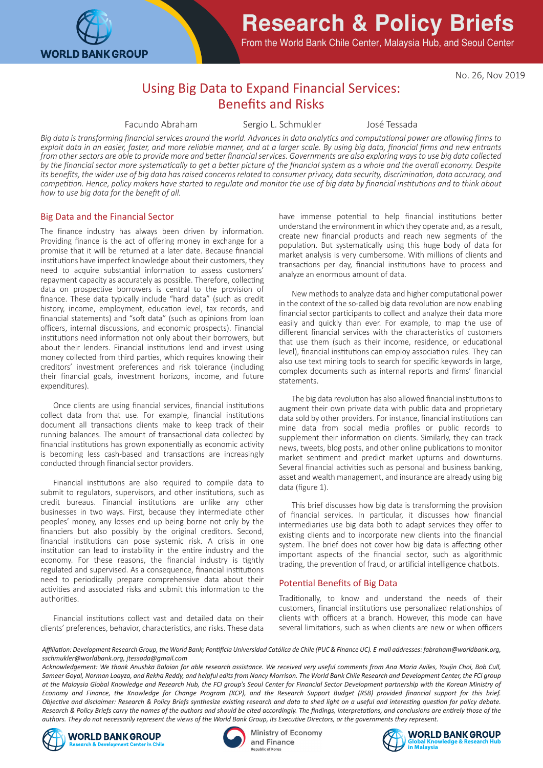

# **Research & Policy Briefs**

From the World Bank Chile Center, Malaysia Hub, and Seoul Center

No. 26, Nov 2019

# Using Big Data to Expand Financial Services: Benefits and Risks

Facundo Abraham Sergio L. Schmukler José Tessada

*Big data is transforming financial services around the world. Advances in data analytics and computational power are allowing firms to exploit data in an easier, faster, and more reliable manner, and at a larger scale. By using big data, financial firms and new entrants from other sectors are able to provide more and better financial services. Governments are also exploring ways to use big data collected by the financial sector more systematically to get a better picture of the financial system as a whole and the overall economy. Despite its benefits, the wider use of big data has raised concerns related to consumer privacy, data security, discrimination, data accuracy, and competition. Hence, policy makers have started to regulate and monitor the use of big data by financial institutions and to think about how to use big data for the benefit of all.*

#### Big Data and the Financial Sector

The finance industry has always been driven by information. Providing finance is the act of offering money in exchange for a promise that it will be returned at a later date. Because financial institutions have imperfect knowledge about their customers, they need to acquire substantial information to assess customers' repayment capacity as accurately as possible. Therefore, collecting data on prospective borrowers is central to the provision of finance. These data typically include "hard data" (such as credit history, income, employment, education level, tax records, and financial statements) and "soft data" (such as opinions from loan officers, internal discussions, and economic prospects). Financial institutions need information not only about their borrowers, but about their lenders. Financial institutions lend and invest using money collected from third parties, which requires knowing their creditors' investment preferences and risk tolerance (including their financial goals, investment horizons, income, and future expenditures).

 Once clients are using financial services, financial institutions collect data from that use. For example, financial institutions document all transactions clients make to keep track of their running balances. The amount of transactional data collected by financial institutions has grown exponentially as economic activity is becoming less cash-based and transactions are increasingly conducted through financial sector providers.

 Financial institutions are also required to compile data to submit to regulators, supervisors, and other institutions, such as credit bureaus. Financial institutions are unlike any other businesses in two ways. First, because they intermediate other peoples' money, any losses end up being borne not only by the financiers but also possibly by the original creditors. Second, financial institutions can pose systemic risk. A crisis in one institution can lead to instability in the entire industry and the economy. For these reasons, the financial industry is tightly regulated and supervised. As a consequence, financial institutions need to periodically prepare comprehensive data about their activities and associated risks and submit this information to the authorities.

 Financial institutions collect vast and detailed data on their clients' preferences, behavior, characteristics, and risks. These data

have immense potential to help financial institutions better understand the environment in which they operate and, as a result, create new financial products and reach new segments of the population. But systematically using this huge body of data for market analysis is very cumbersome. With millions of clients and transactions per day, financial institutions have to process and analyze an enormous amount of data.

 New methods to analyze data and higher computational power in the context of the so-called big data revolution are now enabling financial sector participants to collect and analyze their data more easily and quickly than ever. For example, to map the use of different financial services with the characteristics of customers that use them (such as their income, residence, or educational level), financial institutions can employ association rules. They can also use text mining tools to search for specific keywords in large, complex documents such as internal reports and firms' financial statements.

 The big data revolution has also allowed financial institutions to augment their own private data with public data and proprietary data sold by other providers. For instance, financial institutions can mine data from social media profiles or public records to supplement their information on clients. Similarly, they can track news, tweets, blog posts, and other online publications to monitor market sentiment and predict market upturns and downturns. Several financial activities such as personal and business banking, asset and wealth management, and insurance are already using big data (figure 1).

 This brief discusses how big data is transforming the provision of financial services. In particular, it discusses how financial intermediaries use big data both to adapt services they offer to existing clients and to incorporate new clients into the financial system. The brief does not cover how big data is affecting other important aspects of the financial sector, such as algorithmic trading, the prevention of fraud, or artificial intelligence chatbots.

### Potential Benefits of Big Data

Traditionally, to know and understand the needs of their customers, financial institutions use personalized relationships of clients with officers at a branch. However, this mode can have several limitations, such as when clients are new or when officers

*Affiliation: Development Research Group, the World Bank; Pontificia Universidad Católica de Chile (PUC & Finance UC). E-mail addresses: fabraham@worldbank.org, sschmukler@worldbank.org, jtessada@gmail.com*

*Acknowledgement: We thank Anushka Baloian for able research assistance. We received very useful comments from Ana Maria Aviles, Youjin Choi, Bob Cull,*  Sameer Goyal, Norman Loayza, and Rekha Reddy, and helpful edits from Nancy Morrison. The World Bank Chile Research and Development Center, the FCI group *at the Malaysia Global Knowledge and Research Hub, the FCI group's Seoul Center for Financial Sector Development partnership with the Korean Ministry of Economy and Finance, the Knowledge for Change Program (KCP), and the Research Support Budget (RSB) provided financial support for this brief. Objective and disclaimer: Research & Policy Briefs synthesize existing research and data to shed light on a useful and interesting question for policy debate. Research & Policy Briefs carry the names of the authors and should be cited accordingly. The findings, interpretations, and conclusions are entirely those of the authors. They do not necessarily represent the views of the World Bank Group, its Executive Directors, or the governments they represent.*





**Ministry of Economy** and Finance Republic of Korea

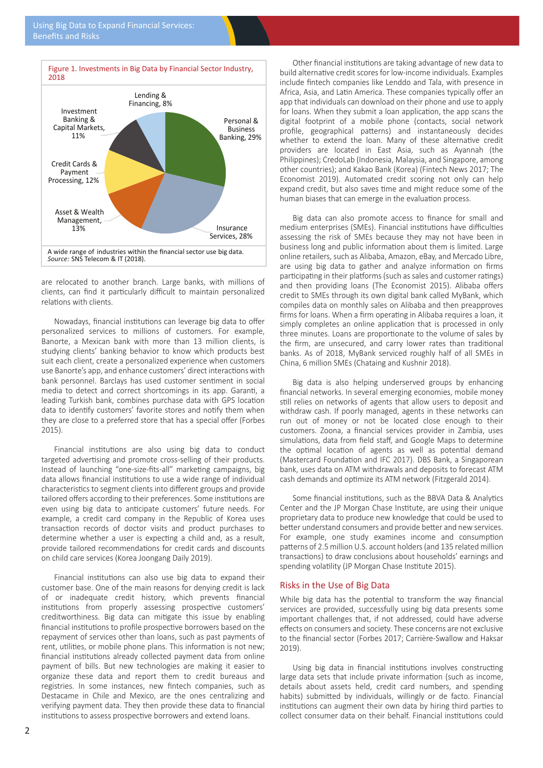

are relocated to another branch. Large banks, with millions of clients, can find it particularly difficult to maintain personalized relations with clients.

 Nowadays, financial institutions can leverage big data to offer personalized services to millions of customers. For example, Banorte, a Mexican bank with more than 13 million clients, is studying clients' banking behavior to know which products best suit each client, create a personalized experience when customers use Banorte's app, and enhance customers' direct interactions with bank personnel. Barclays has used customer sentiment in social media to detect and correct shortcomings in its app. Garanti, a leading Turkish bank, combines purchase data with GPS location data to identify customers' favorite stores and notify them when they are close to a preferred store that has a special offer (Forbes 2015).

 Financial institutions are also using big data to conduct targeted advertising and promote cross-selling of their products. Instead of launching "one-size-fits-all" marketing campaigns, big data allows financial institutions to use a wide range of individual characteristics to segment clients into different groups and provide tailored offers according to their preferences. Some institutions are even using big data to anticipate customers' future needs. For example, a credit card company in the Republic of Korea uses transaction records of doctor visits and product purchases to determine whether a user is expecting a child and, as a result, provide tailored recommendations for credit cards and discounts on child care services (Korea Joongang Daily 2019).

 Financial institutions can also use big data to expand their customer base. One of the main reasons for denying credit is lack of or inadequate credit history, which prevents financial institutions from properly assessing prospective customers' creditworthiness. Big data can mitigate this issue by enabling financial institutions to profile prospective borrowers based on the repayment of services other than loans, such as past payments of rent, utilities, or mobile phone plans. This information is not new; financial institutions already collected payment data from online payment of bills. But new technologies are making it easier to organize these data and report them to credit bureaus and registries. In some instances, new fintech companies, such as Destacame in Chile and Mexico, are the ones centralizing and verifying payment data. They then provide these data to financial institutions to assess prospective borrowers and extend loans.

 Other financial institutions are taking advantage of new data to build alternative credit scores for low-income individuals. Examples include fintech companies like Lenddo and Tala, with presence in Africa, Asia, and Latin America. These companies typically offer an app that individuals can download on their phone and use to apply for loans. When they submit a loan application, the app scans the digital footprint of a mobile phone (contacts, social network profile, geographical patterns) and instantaneously decides whether to extend the loan. Many of these alternative credit providers are located in East Asia, such as Ayannah (the Philippines); CredoLab (Indonesia, Malaysia, and Singapore, among other countries); and Kakao Bank (Korea) (Fintech News 2017; The Economist 2019). Automated credit scoring not only can help expand credit, but also saves time and might reduce some of the human biases that can emerge in the evaluation process.

 Big data can also promote access to finance for small and medium enterprises (SMEs). Financial institutions have difficulties assessing the risk of SMEs because they may not have been in business long and public information about them is limited. Large online retailers, such as Alibaba, Amazon, eBay, and Mercado Libre, are using big data to gather and analyze information on firms participating in their platforms (such as sales and customer ratings) and then providing loans (The Economist 2015). Alibaba offers credit to SMEs through its own digital bank called MyBank, which compiles data on monthly sales on Alibaba and then preapproves firms for loans. When a firm operating in Alibaba requires a loan, it simply completes an online application that is processed in only three minutes. Loans are proportionate to the volume of sales by the firm, are unsecured, and carry lower rates than traditional banks. As of 2018, MyBank serviced roughly half of all SMEs in China, 6 million SMEs (Chataing and Kushnir 2018).

 Big data is also helping underserved groups by enhancing financial networks. In several emerging economies, mobile money still relies on networks of agents that allow users to deposit and withdraw cash. If poorly managed, agents in these networks can run out of money or not be located close enough to their customers. Zoona, a financial services provider in Zambia, uses simulations, data from field staff, and Google Maps to determine the optimal location of agents as well as potential demand (Mastercard Foundation and IFC 2017). DBS Bank, a Singaporean bank, uses data on ATM withdrawals and deposits to forecast ATM cash demands and optimize its ATM network (Fitzgerald 2014).

 Some financial institutions, such as the BBVA Data & Analytics Center and the JP Morgan Chase Institute, are using their unique proprietary data to produce new knowledge that could be used to better understand consumers and provide better and new services. For example, one study examines income and consumption patterns of 2.5 million U.S. account holders (and 135 related million transactions) to draw conclusions about households' earnings and spending volatility (JP Morgan Chase Institute 2015).

### Risks in the Use of Big Data

While big data has the potential to transform the way financial services are provided, successfully using big data presents some important challenges that, if not addressed, could have adverse effects on consumers and society. These concerns are not exclusive to the financial sector (Forbes 2017; Carrière-Swallow and Haksar 2019).

 Using big data in financial institutions involves constructing large data sets that include private information (such as income, details about assets held, credit card numbers, and spending habits) submitted by individuals, willingly or de facto. Financial institutions can augment their own data by hiring third parties to collect consumer data on their behalf. Financial institutions could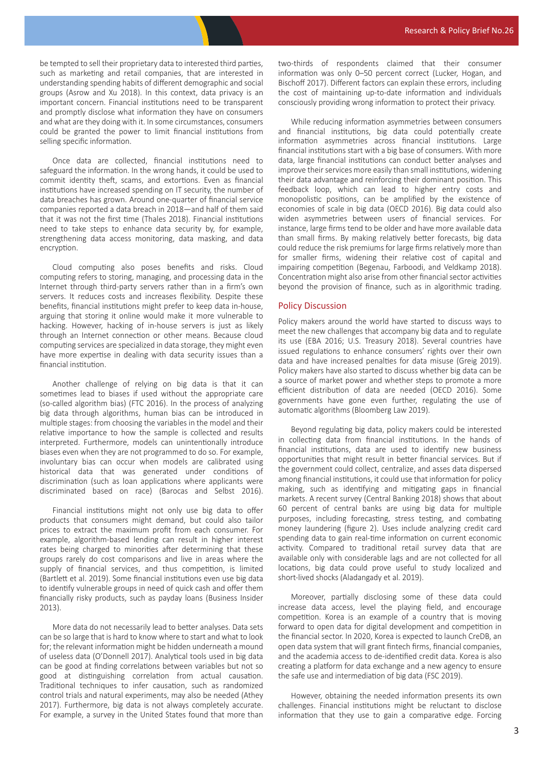be tempted to sell their proprietary data to interested third parties, such as marketing and retail companies, that are interested in understanding spending habits of different demographic and social groups (Asrow and Xu 2018). In this context, data privacy is an important concern. Financial institutions need to be transparent and promptly disclose what information they have on consumers and what are they doing with it. In some circumstances, consumers could be granted the power to limit financial institutions from selling specific information.

 Once data are collected, financial institutions need to safeguard the information. In the wrong hands, it could be used to commit identity theft, scams, and extortions. Even as financial institutions have increased spending on IT security, the number of data breaches has grown. Around one-quarter of financial service companies reported a data breach in 2018—and half of them said that it was not the first time (Thales 2018). Financial institutions need to take steps to enhance data security by, for example, strengthening data access monitoring, data masking, and data encryption.

 Cloud computing also poses benefits and risks. Cloud computing refers to storing, managing, and processing data in the Internet through third-party servers rather than in a firm's own servers. It reduces costs and increases flexibility. Despite these benefits, financial institutions might prefer to keep data in-house, arguing that storing it online would make it more vulnerable to hacking. However, hacking of in-house servers is just as likely through an Internet connection or other means. Because cloud computing services are specialized in data storage, they might even have more expertise in dealing with data security issues than a financial institution.

 Another challenge of relying on big data is that it can sometimes lead to biases if used without the appropriate care (so-called algorithm bias) (FTC 2016). In the process of analyzing big data through algorithms, human bias can be introduced in multiple stages: from choosing the variables in the model and their relative importance to how the sample is collected and results interpreted. Furthermore, models can unintentionally introduce biases even when they are not programmed to do so. For example, involuntary bias can occur when models are calibrated using historical data that was generated under conditions of discrimination (such as loan applications where applicants were discriminated based on race) (Barocas and Selbst 2016).

 Financial institutions might not only use big data to offer products that consumers might demand, but could also tailor prices to extract the maximum profit from each consumer. For example, algorithm-based lending can result in higher interest rates being charged to minorities after determining that these groups rarely do cost comparisons and live in areas where the supply of financial services, and thus competition, is limited (Bartlett et al. 2019). Some financial institutions even use big data to identify vulnerable groups in need of quick cash and offer them financially risky products, such as payday loans (Business Insider 2013).

 More data do not necessarily lead to better analyses. Data sets can be so large that is hard to know where to start and what to look for; the relevant information might be hidden underneath a mound of useless data (O'Donnell 2017). Analytical tools used in big data can be good at finding correlations between variables but not so good at distinguishing correlation from actual causation. Traditional techniques to infer causation, such as randomized control trials and natural experiments, may also be needed (Athey 2017). Furthermore, big data is not always completely accurate. For example, a survey in the United States found that more than two-thirds of respondents claimed that their consumer information was only 0–50 percent correct (Lucker, Hogan, and Bischoff 2017). Different factors can explain these errors, including the cost of maintaining up-to-date information and individuals consciously providing wrong information to protect their privacy.

 While reducing information asymmetries between consumers and financial institutions, big data could potentially create information asymmetries across financial institutions. Large financial institutions start with a big base of consumers. With more data, large financial institutions can conduct better analyses and improve their services more easily than small institutions, widening their data advantage and reinforcing their dominant position. This feedback loop, which can lead to higher entry costs and monopolistic positions, can be amplified by the existence of economies of scale in big data (OECD 2016). Big data could also widen asymmetries between users of financial services. For instance, large firms tend to be older and have more available data than small firms. By making relatively better forecasts, big data could reduce the risk premiums for large firms relatively more than for smaller firms, widening their relative cost of capital and impairing competition (Begenau, Farboodi, and Veldkamp 2018). Concentration might also arise from other financial sector activities beyond the provision of finance, such as in algorithmic trading.

# Policy Discussion

Policy makers around the world have started to discuss ways to meet the new challenges that accompany big data and to regulate its use (EBA 2016; U.S. Treasury 2018). Several countries have issued regulations to enhance consumers' rights over their own data and have increased penalties for data misuse (Greig 2019). Policy makers have also started to discuss whether big data can be a source of market power and whether steps to promote a more efficient distribution of data are needed (OECD 2016). Some governments have gone even further, regulating the use of automatic algorithms (Bloomberg Law 2019).

 Beyond regulating big data, policy makers could be interested in collecting data from financial institutions. In the hands of financial institutions, data are used to identify new business opportunities that might result in better financial services. But if the government could collect, centralize, and asses data dispersed among financial institutions, it could use that information for policy making, such as identifying and mitigating gaps in financial markets. A recent survey (Central Banking 2018) shows that about 60 percent of central banks are using big data for multiple purposes, including forecasting, stress testing, and combating money laundering (figure 2). Uses include analyzing credit card spending data to gain real-time information on current economic activity. Compared to traditional retail survey data that are available only with considerable lags and are not collected for all locations, big data could prove useful to study localized and short-lived shocks (Aladangady et al. 2019).

 Moreover, partially disclosing some of these data could increase data access, level the playing field, and encourage competition. Korea is an example of a country that is moving forward to open data for digital development and competition in the financial sector. In 2020, Korea is expected to launch CreDB, an open data system that will grant fintech firms, financial companies, and the academia access to de-identified credit data. Korea is also creating a platform for data exchange and a new agency to ensure the safe use and intermediation of big data (FSC 2019).

 However, obtaining the needed information presents its own challenges. Financial institutions might be reluctant to disclose information that they use to gain a comparative edge. Forcing